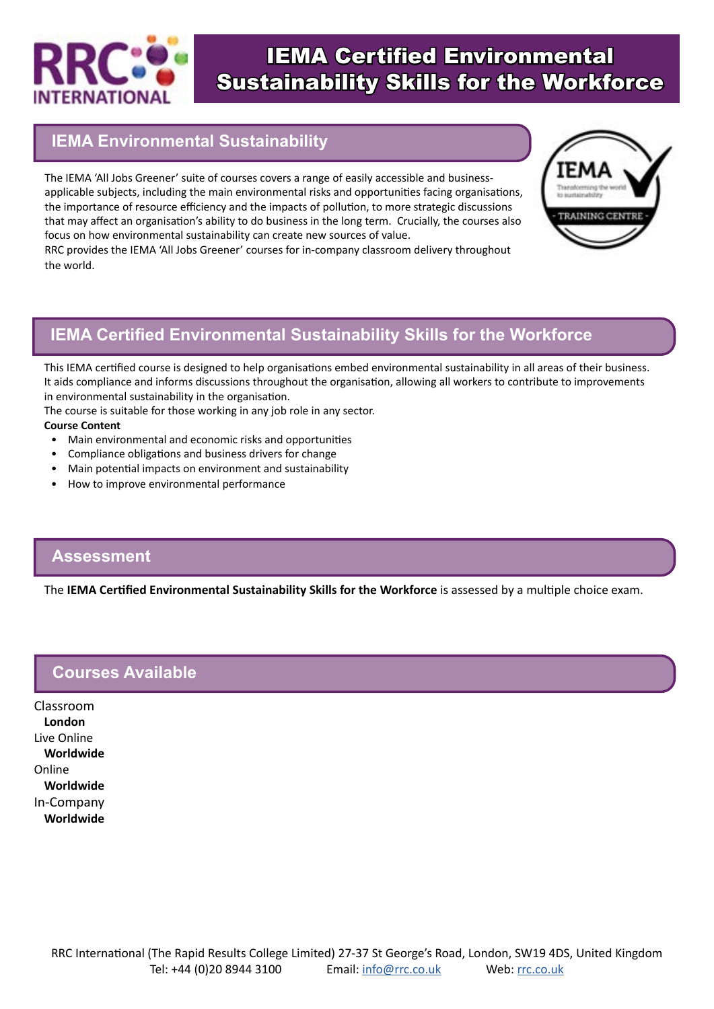

# IEMA Certified Environmental Sustainability Skills for the Workforce

# **IEMA Environmental Sustainability**

The IEMA 'All Jobs Greener' suite of courses covers a range of easily accessible and businessapplicable subjects, including the main environmental risks and opportunities facing organisations, the importance of resource efficiency and the impacts of pollution, to more strategic discussions that may affect an organisation's ability to do business in the long term. Crucially, the courses also focus on how environmental sustainability can create new sources of value.

RRC provides the IEMA 'All Jobs Greener' courses for in-company classroom delivery throughout the world.



## **IEMA Certified Environmental Sustainability Skills for the Workforce**

This IEMA certified course is designed to help organisations embed environmental sustainability in all areas of their business. It aids compliance and informs discussions throughout the organisation, allowing all workers to contribute to improvements in environmental sustainability in the organisation.

The course is suitable for those working in any job role in any sector.

#### **Course Content**

- Main environmental and economic risks and opportunities
- Compliance obligations and business drivers for change
- Main potential impacts on environment and sustainability
- How to improve environmental performance

#### **Assessment**

The **IEMA Certified Environmental Sustainability Skills for the Workforce** is assessed by a multiple choice exam.

### **Courses Available**

Classroom **London** Live Online **Worldwide** Online **Worldwide** In-Company **Worldwide**